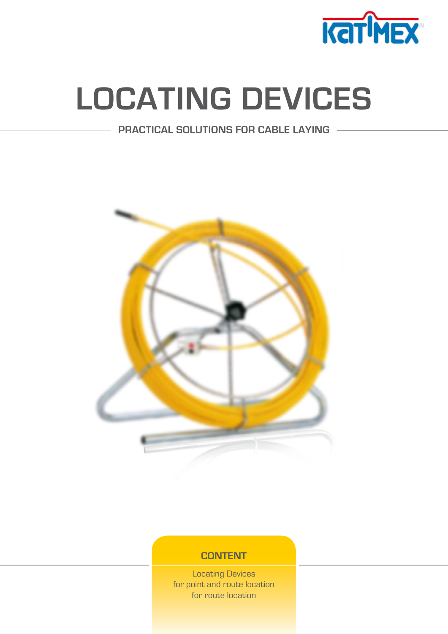

# **[LOCATING DEVICES](http://www.katimex.com/lc/lcstart.html)**

**PRACTICAL SOLUTIONS FOR CABLE LAYING**



## **CONTENT**

[Locating Devices](#page-1-0) [for point and route location](#page-1-0) [for route location](#page-4-0)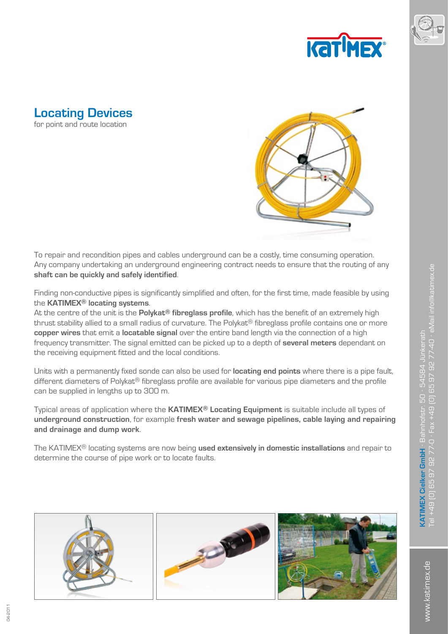



<span id="page-1-0"></span>



To repair and recondition pipes and cables underground can be a costly, time consuming operation. Any company undertaking an underground engineering contract needs to ensure that the routing of any **shaft can be quickly and safely identified**.

Finding non-conductive pipes is significantly simplified and often, for the first time, made feasible by using the **KATIMEX® locating systems**.

At the centre of the unit is the **Polykat® fibreglass profile**, which has the benefit of an extremely high thrust stability allied to a small radius of curvature. The Polykat® fibreglass profile contains one or more **copper wires** that emit a **locatable signal** over the entire band length via the connection of a high frequency transmitter. The signal emitted can be picked up to a depth of **several meters** dependant on the receiving equipment fitted and the local conditions.

Units with a permanently fixed sonde can also be used for **locating end points** where there is a pipe fault, different diameters of Polykat® fibreglass profile are available for various pipe diameters and the profile can be supplied in lengths up to 300 m.

Typical areas of application where the **KATIMEX® Locating Equipment** is suitable include all types of **underground construction**, for example **fresh water and sewage pipelines, cable laying and repairing and drainage and dump work**.

The KATIMEX® locating systems are now being **used extensively in domestic installations** and repair to determine the course of pipe work or to locate faults.



www.katimex.de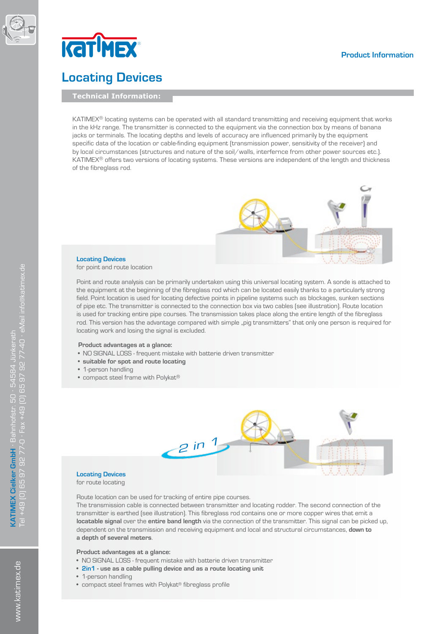



# **Locating Devices**

**Technical Information:**

KATIMEX® locating systems can be operated with all standard transmitting and receiving equipment that works in the kHz range. The transmitter is connected to the equipment via the connection box by means of banana jacks or terminals. The locating depths and levels of accuracy are influenced primarily by the equipment specific data of the location or cable-finding equipment (transmission power, sensitivity of the receiver) and by local circumstances (structures and nature of the soil/walls, interfernce from other power sources etc.). KATIMEX® offers two versions of locating systems. These versions are independent of the length and thickness of the fibreglass rod.



#### **Locating Devices**  for point and route location

Point and route analysis can be primarily undertaken using this universal locating system. A sonde is attached to the equipment at the beginning of the fibreglass rod which can be located easily thanks to a particularly strong field. Point location is used for locating defective points in pipeline systems such as blockages, sunken sections of pipe etc. The transmitter is connected to the connection box via two cables (see illustration). Route location is used for tracking entire pipe courses. The transmission takes place along the entire length of the fibreglass rod. This version has the advantage compared with simple "pig transmitters" that only one person is required for locating work and losing the signal is excluded.

#### **Product advantages at a glance:**

- NO SIGNAL LOSS frequent mistake with batterie driven transmitter
- **• suitable for spot and route locating**
- 1-person handling
- compact steel frame with Polykat®



#### **Locating Devices**  for route locating

Route location can be used for tracking of entire pipe courses.

The transmission cable is connected between transmitter and locating rodder. The second connection of the transmitter is earthed (see illustration). This fibreglass rod contains one or more copper wires that emit a **locatable signal** over the **entire band length** via the connection of the transmitter. This signal can be picked up, dependent on the transmission and receiving equipment and local and structural circumstances, **down to a depth of several meters**.

#### **Product advantages at a glance:**

- NO SIGNAL LOSS frequent mistake with batterie driven transmitter
- **• 2in1 use as a cable pulling device and as a route locating unit**
- 1-person handling
- • compact steel frames with Polykat® fibreglass profile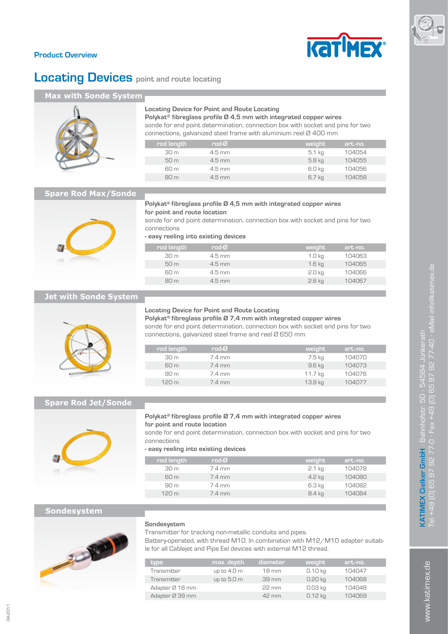

#### **Product Overview**

# **Locating Devices** point and route locating

F

#### **Max with Sonde System**



#### **Locating Device for Point and Route Locating**

**Polykat® fibreglass profile Ø 4,5 mm with integrated copper wires** sonde for end point determination, connection box with socket and pins for two connections, galvanized steel frame with aluminium reel Ø 400 mm

| rod length      | rod- $\sigma$    | weight | art.-no. |
|-----------------|------------------|--------|----------|
| 30m             | $4.5 \text{ mm}$ | 5.1 kg | 104054   |
| 50 m            | $4.5$ mm         | 5.8 kg | 104055   |
| 60 m            | $4.5 \text{ mm}$ | 6.0 kg | 104056   |
| 80 <sub>m</sub> | $4.5$ mm         | 6.7 kg | 104058   |
|                 |                  |        |          |

#### **Spare Rod Max/Sonde**



#### **Polykat® fibreglass profile Ø 4,5 mm with integrated copper wires for point and route location**

sonde for end point determination, connection box with socket and pins for two connections

**- easy reeling into existing devices**

| rod length '    | rod- $\sigma$    | weight            | art.-no. |  |
|-----------------|------------------|-------------------|----------|--|
| 30 <sub>m</sub> | $4.5 \text{ mm}$ | 1.0 kg            | 104063   |  |
| 50 m            | $4.5$ mm         | 1.6 <sub>kg</sub> | 104065   |  |
| 60 m            | $4.5 \text{ mm}$ | 2.0 <sub>kg</sub> | 104066   |  |
| 80 m            | $4.5 \text{ mm}$ | $2.6$ kg          | 104067   |  |
|                 |                  |                   |          |  |

#### **Jet with Sonde System**



#### **Locating Device for Point and Route Locating**

**Polykat® fibreglass profile Ø 7,4 mm with integrated copper wires** sonde for end point determination, connection box with socket and pins for two connections, galvanized steel frame and reel Ø 650 mm

| rod length       | rod-Ø  | weight  | art.-no. |
|------------------|--------|---------|----------|
| 30 m             | 7.4 mm | 7.5 kg  | 104070   |
| 60 m             | 7.4 mm | 9.6 kg  | 104073   |
| 90 m             | 7.4 mm | 11.7 kg | 104076   |
| 120 <sub>m</sub> | 7.4 mm | 13.8 kg | 104077   |
|                  |        |         |          |

#### **Spare Rod Jet/Sonde**



#### **Polykat® fibreglass profile Ø 7,4 mm with integrated copper wires for point and route location**

sonde for end point determination, connection box with socket and pins for two connections

**- easy reeling into existing devices**

| rod length       | rod- $\sigma$    | weight   | art.-no. |
|------------------|------------------|----------|----------|
| 30 <sub>m</sub>  | 7.4 mm           | $2.1$ kg | 104078   |
| 60 m             | $7.4 \text{ mm}$ | $4.2$ kg | 104080   |
| 90 <sub>m</sub>  | 7.4 mm           | 6.3 kg   | 104082   |
| 120 <sub>m</sub> | $7.4 \text{ mm}$ | 8.4 kg   | 104084   |

#### **Sondesystem**



#### **Sondesystem**

Transmitter for tracking non-metallic conduits and pipes. Battery-operated, with thread M10. In combination with M12/M10 adapter suitable for all Cablejet and Pipe Eel devices with external M12 thread.

| type            | max. depth  | diameter        | weight    | art.-no. |
|-----------------|-------------|-----------------|-----------|----------|
| Transmitter     | up to 4.0 m | $18 \text{ mm}$ | $0.10$ kg | 104047   |
| Transmitter     | up to 5.0 m | 39 mm           | $0.20$ kg | 104068   |
| Adapter Ø 18 mm |             | $22 \text{ mm}$ | $0.03$ kg | 104048   |
| Adapter Ø 39 mm |             | 42 mm           | $0.12$ kg | 104069   |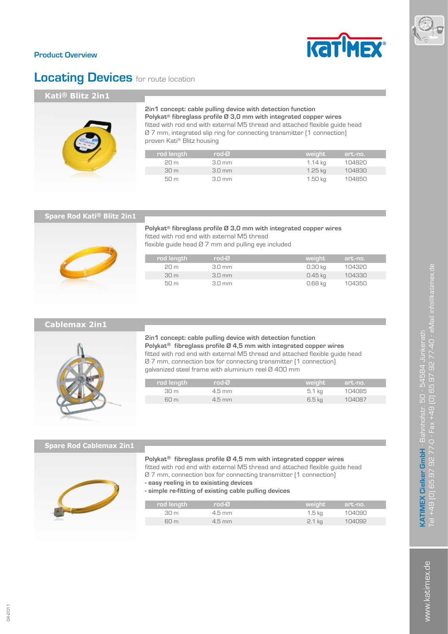

#### <span id="page-4-0"></span>**Product Overview**

# **Locating Devices** for route location

### **Kati® Blitz 2in1**



#### **2in1 concept: cable pulling device with detection function Polykat® fibreglass profile Ø 3,0 mm with integrated copper wires**

fitted with rod end with external M5 thread and attached flexible guide head Ø 7 mm, integrated slip ring for connecting transmitter (1 connection) proven Kati® Blitz housing

| rod length      | $rod-O$          | weight  | art.-no. |
|-----------------|------------------|---------|----------|
| 20m             | $3.0 \text{ mm}$ | 1.14 ka | 104820   |
| 30 <sub>m</sub> | $3.0 \text{ mm}$ | 1.25 ka | 104830   |
| 50m             | $3.0 \text{ mm}$ | 1.50 ka | 104850   |

#### **Spare Rod Kati® Blitz 2in1**

**Polykat® fibreglass profile Ø 3,0 mm with integrated copper wires** fitted with rod end with external M5 thread flexible guide head Ø 7 mm and pulling eye included

| rod length      | $rod-O$          | weight  | art.-no. |
|-----------------|------------------|---------|----------|
| 20 m            | $3.0 \text{ mm}$ | 0.30 kg | 104320   |
| 30 <sub>m</sub> | $3.0 \text{ mm}$ | 0.45 ka | 104330   |
| 50 m            | $3.0 \text{ mm}$ | 0.68 kg | 104350   |

#### **Cablemax 2in1**



**2in1 concept: cable pulling device with detection function Polykat® fibreglass profile Ø 4,5 mm with integrated copper wires** fitted with rod end with external M5 thread and attached flexible guide head Ø 7 mm, connection box for connecting transmitter (1 connection) galvanized steel frame with aluminium reel Ø 400 mm

| rod length | rod-Ø    | weight' | art.-no. |
|------------|----------|---------|----------|
| 30m        | $4.5$ mm | 5.1 kg  | 104085   |
| 60m        | $4.5$ mm | 6.5 kg  | 104087   |
|            |          |         |          |

#### **Spare Rod Cablemax 2in1**

#### **Polykat® fibreglass profile Ø 4,5 mm with integrated copper wires**

fitted with rod end with external M5 thread and attached flexible guide head Ø 7 mm, connection box for connecting transmitter (1 connection)

- **easy reeling in to exisisting devices**
- **simple re-fitting of existing cable pulling devices**

| rod length | rod-Ø    | weight            | art.-no. |
|------------|----------|-------------------|----------|
| 30 m       | $4.5$ mm | 1.5 <sub>kq</sub> | 104090   |
| 60m        | $4.5$ mm | $2.1$ kg          | 104092   |